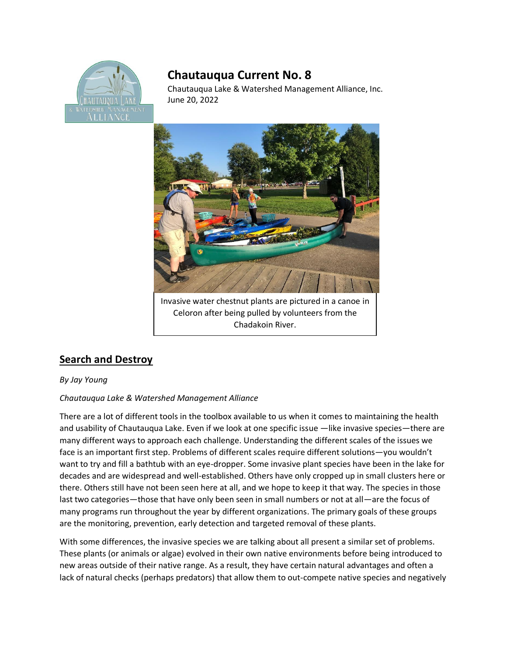

## **Chautauqua Current No. 8**

Chautauqua Lake & Watershed Management Alliance, Inc. June 20, 2022



## **Search and Destroy**

## *By Jay Young*

## *Chautauqua Lake & Watershed Management Alliance*

There are a lot of different tools in the toolbox available to us when it comes to maintaining the health and usability of Chautauqua Lake. Even if we look at one specific issue —like invasive species—there are many different ways to approach each challenge. Understanding the different scales of the issues we face is an important first step. Problems of different scales require different solutions—you wouldn't want to try and fill a bathtub with an eye-dropper. Some invasive plant species have been in the lake for decades and are widespread and well-established. Others have only cropped up in small clusters here or there. Others still have not been seen here at all, and we hope to keep it that way. The species in those last two categories—those that have only been seen in small numbers or not at all—are the focus of many programs run throughout the year by different organizations. The primary goals of these groups are the monitoring, prevention, early detection and targeted removal of these plants.

With some differences, the invasive species we are talking about all present a similar set of problems. These plants (or animals or algae) evolved in their own native environments before being introduced to new areas outside of their native range. As a result, they have certain natural advantages and often a lack of natural checks (perhaps predators) that allow them to out-compete native species and negatively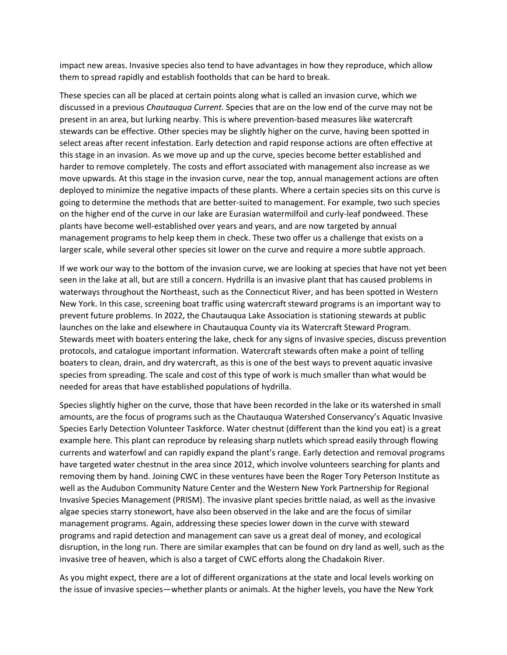impact new areas. Invasive species also tend to have advantages in how they reproduce, which allow them to spread rapidly and establish footholds that can be hard to break.

These species can all be placed at certain points along what is called an invasion curve, which we discussed in a previous *Chautauqua Current.* Species that are on the low end of the curve may not be present in an area, but lurking nearby. This is where prevention-based measures like watercraft stewards can be effective. Other species may be slightly higher on the curve, having been spotted in select areas after recent infestation. Early detection and rapid response actions are often effective at this stage in an invasion. As we move up and up the curve, species become better established and harder to remove completely. The costs and effort associated with management also increase as we move upwards. At this stage in the invasion curve, near the top, annual management actions are often deployed to minimize the negative impacts of these plants. Where a certain species sits on this curve is going to determine the methods that are better-suited to management. For example, two such species on the higher end of the curve in our lake are Eurasian watermilfoil and curly-leaf pondweed. These plants have become well-established over years and years, and are now targeted by annual management programs to help keep them in check. These two offer us a challenge that exists on a larger scale, while several other species sit lower on the curve and require a more subtle approach.

If we work our way to the bottom of the invasion curve, we are looking at species that have not yet been seen in the lake at all, but are still a concern. Hydrilla is an invasive plant that has caused problems in waterways throughout the Northeast, such as the Connecticut River, and has been spotted in Western New York. In this case, screening boat traffic using watercraft steward programs is an important way to prevent future problems. In 2022, the Chautauqua Lake Association is stationing stewards at public launches on the lake and elsewhere in Chautauqua County via its Watercraft Steward Program. Stewards meet with boaters entering the lake, check for any signs of invasive species, discuss prevention protocols, and catalogue important information. Watercraft stewards often make a point of telling boaters to clean, drain, and dry watercraft, as this is one of the best ways to prevent aquatic invasive species from spreading. The scale and cost of this type of work is much smaller than what would be needed for areas that have established populations of hydrilla.

Species slightly higher on the curve, those that have been recorded in the lake or its watershed in small amounts, are the focus of programs such as the Chautauqua Watershed Conservancy's Aquatic Invasive Species Early Detection Volunteer Taskforce. Water chestnut (different than the kind you eat) is a great example here. This plant can reproduce by releasing sharp nutlets which spread easily through flowing currents and waterfowl and can rapidly expand the plant's range. Early detection and removal programs have targeted water chestnut in the area since 2012, which involve volunteers searching for plants and removing them by hand. Joining CWC in these ventures have been the Roger Tory Peterson Institute as well as the Audubon Community Nature Center and the Western New York Partnership for Regional Invasive Species Management (PRISM). The invasive plant species brittle naiad, as well as the invasive algae species starry stonewort, have also been observed in the lake and are the focus of similar management programs. Again, addressing these species lower down in the curve with steward programs and rapid detection and management can save us a great deal of money, and ecological disruption, in the long run. There are similar examples that can be found on dry land as well, such as the invasive tree of heaven, which is also a target of CWC efforts along the Chadakoin River.

As you might expect, there are a lot of different organizations at the state and local levels working on the issue of invasive species—whether plants or animals. At the higher levels, you have the New York